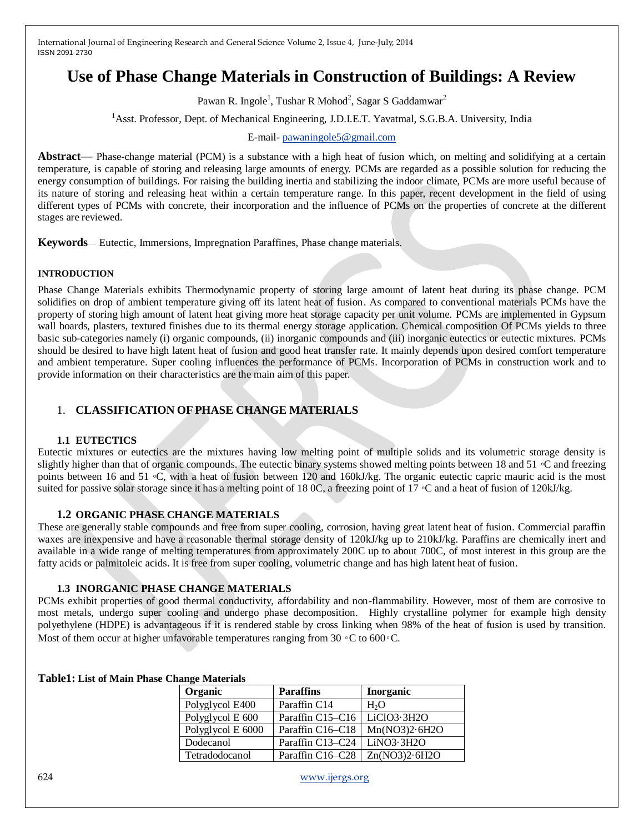# **Use of Phase Change Materials in Construction of Buildings: A Review**

Pawan R. Ingole<sup>1</sup>, Tushar R Mohod<sup>2</sup>, Sagar S Gaddamwar<sup>2</sup>

<sup>1</sup>Asst. Professor, Dept. of Mechanical Engineering, J.D.I.E.T. Yavatmal, S.G.B.A. University, India

E-mail- [pawaningole5@gmail.com](mailto:pawaningole5@gmail.com)

**Abstract**— Phase-change material (PCM) is a substance with a high [heat of fusion](http://en.wikipedia.org/wiki/Heat_of_fusion) which, on melting and solidifying at a certain temperature, is capable of storing and releasing large amounts of energy. PCMs are regarded as a possible solution for reducing the energy consumption of buildings. For raising the building inertia and stabilizing the indoor climate, PCMs are more useful because of its nature of storing and releasing heat within a certain temperature range. In this paper, recent development in the field of using different types of PCMs with concrete, their incorporation and the influence of PCMs on the properties of concrete at the different stages are reviewed.

**Keywords**— Eutectic, Immersions, Impregnation Paraffines, Phase change materials.

#### **INTRODUCTION**

Phase Change Materials exhibits Thermodynamic property of storing large amount of latent heat during its phase change. PCM solidifies on drop of ambient temperature giving off its latent heat of fusion. As compared to conventional materials PCMs have the property of storing high amount of latent heat giving more heat storage capacity per unit volume. PCMs are implemented in Gypsum wall boards, plasters, textured finishes due to its thermal energy storage application. Chemical composition Of PCMs yields to three basic sub-categories namely (i) organic compounds, (ii) inorganic compounds and (iii) inorganic eutectics or eutectic mixtures. PCMs should be desired to have high latent heat of fusion and good heat transfer rate. It mainly depends upon desired comfort temperature and ambient temperature. Super cooling influences the performance of PCMs. Incorporation of PCMs in construction work and to provide information on their characteristics are the main aim of this paper.

# 1. **CLASSIFICATION OFPHASE CHANGE MATERIALS**

#### **1.1 EUTECTICS**

Eutectic mixtures or eutectics are the mixtures having low melting point of multiple solids and its volumetric storage density is slightly higher than that of organic compounds. The eutectic binary systems showed melting points between 18 and 51 ◦C and freezing points between 16 and 51 ℃, with a heat of fusion between 120 and 160kJ/kg. The organic eutectic capric mauric acid is the most suited for passive solar storage since it has a melting point of 18 0C, a freezing point of 17 ℃ and a heat of fusion of 120kJ/kg.

#### **1.2 ORGANIC PHASE CHANGE MATERIALS**

These are generally stable compounds and free from super cooling, corrosion, having great latent heat of fusion. Commercial paraffin waxes are inexpensive and have a reasonable thermal storage density of 120kJ/kg up to 210kJ/kg. Paraffins are chemically inert and available in a wide range of melting temperatures from approximately 200C up to about 700C, of most interest in this group are the fatty acids or palmitoleic acids. It is free from super cooling, volumetric change and has high latent heat of fusion.

#### **1.3 INORGANIC PHASE CHANGE MATERIALS**

PCMs exhibit properties of good thermal conductivity, affordability and non-flammability. However, most of them are corrosive to most metals, undergo super cooling and undergo phase decomposition. Highly crystalline polymer for example high density polyethylene (HDPE) is advantageous if it is rendered stable by cross linking when 98% of the heat of fusion is used by transition. Most of them occur at higher unfavorable temperatures ranging from 30  $\circ$ C to 600 $\circ$ C.

| wango waawi idio |                   |                                           |                  |  |
|------------------|-------------------|-------------------------------------------|------------------|--|
|                  | Organic           | <b>Paraffins</b>                          | <b>Inorganic</b> |  |
|                  | Polyglycol E400   | Paraffin C14                              | H <sub>2</sub> O |  |
|                  | Polyglycol E 600  | Paraffin C15-C16                          | LiClO3.3H2O      |  |
|                  | Polyglycol E 6000 | Paraffin C <sub>16</sub> –C <sub>18</sub> | Mn(NO3)2.6H2O    |  |
|                  | Dodecanol         | Paraffin C13–C24                          | LiNO3.3H2O       |  |
|                  | Tetradodocanol    | Paraffin C16-C28                          | Zn(NO3)2.6H2O    |  |

#### **Table1: List of Main Phase Change Materials**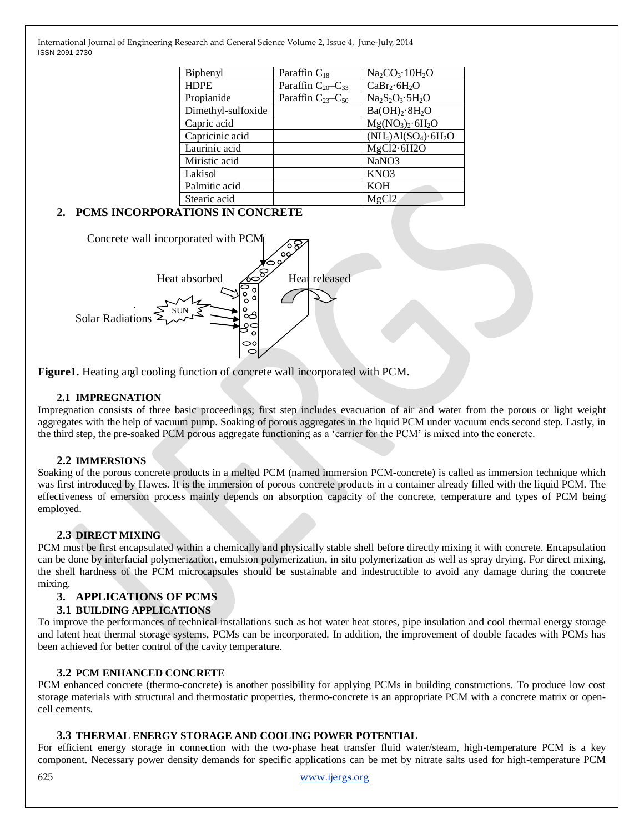| Biphenyl           | Paraffin $C_{18}$        | $Na_2CO_3.10H_2O$                      |
|--------------------|--------------------------|----------------------------------------|
| <b>HDPE</b>        | Paraffin $C_{20}-C_{33}$ | $CaBr_2·6H_2O$                         |
| Propianide         | Paraffin $C_{23}-C_{50}$ | $Na2S2O3·5H2O$                         |
| Dimethyl-sulfoxide |                          | Ba(OH) <sub>2</sub> ·8H <sub>2</sub> O |
| Capric acid        |                          | $Mg(NO3)2·6H2O$                        |
| Capricinic acid    |                          | $(NH_4)Al(SO_4) \cdot 6H_2O$           |
| Laurinic acid      |                          | MgCl2.6H2O                             |
| Miristic acid      |                          | NaNO <sub>3</sub>                      |
| Lakisol            |                          | KNO3                                   |
| Palmitic acid      |                          | <b>KOH</b>                             |
| Stearic acid       |                          | MgCl <sub>2</sub>                      |

# **2. PCMS INCORPORATIONS IN CONCRETE**



**Figure1.** Heating and cooling function of concrete wall incorporated with PCM.

#### **2.1 IMPREGNATION**

Impregnation consists of three basic proceedings; first step includes evacuation of air and water from the porous or light weight aggregates with the help of vacuum pump. Soaking of porous aggregates in the liquid PCM under vacuum ends second step. Lastly, in the third step, the pre-soaked PCM porous aggregate functioning as a 'carrier for the PCM' is mixed into the concrete.

#### **2.2 IMMERSIONS**

Soaking of the porous concrete products in a melted PCM (named immersion PCM-concrete) is called as immersion technique which was first introduced by Hawes. It is the immersion of porous concrete products in a container already filled with the liquid PCM. The effectiveness of emersion process mainly depends on absorption capacity of the concrete, temperature and types of PCM being employed.

#### **2.3 DIRECT MIXING**

PCM must be first encapsulated within a chemically and physically stable shell before directly mixing it with concrete. Encapsulation can be done by interfacial polymerization, emulsion polymerization, in situ polymerization as well as spray drying. For direct mixing, the shell hardness of the PCM microcapsules should be sustainable and indestructible to avoid any damage during the concrete mixing.

#### **3. APPLICATIONS OF PCMS**

#### **3.1 BUILDING APPLICATIONS**

To improve the performances of technical installations such as hot water heat stores, pipe insulation and cool thermal energy storage and latent heat thermal storage systems, PCMs can be incorporated. In addition, the improvement of double facades with PCMs has been achieved for better control of the cavity temperature.

#### **3.2 PCM ENHANCED CONCRETE**

PCM enhanced concrete (thermo-concrete) is another possibility for applying PCMs in building constructions. To produce low cost storage materials with structural and thermostatic properties, thermo-concrete is an appropriate PCM with a concrete matrix or opencell cements.

#### **3.3 THERMAL ENERGY STORAGE AND COOLING POWER POTENTIAL**

For efficient energy storage in connection with the two-phase heat transfer fluid water/steam, high-temperature PCM is a key component. Necessary power density demands for specific applications can be met by nitrate salts used for high-temperature PCM

625 [www.ijergs.org](http://www.ijergs.org/)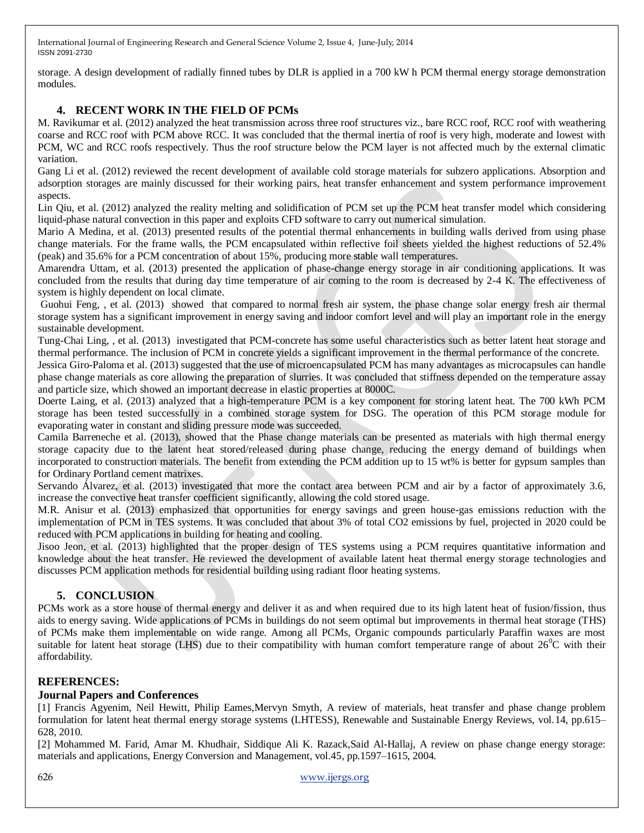storage. A design development of radially finned tubes by DLR is applied in a 700 kW h PCM thermal energy storage demonstration modules.

# **4. RECENT WORK IN THE FIELD OF PCMs**

M. Ravikumar et al. (2012) analyzed the heat transmission across three roof structures viz., bare RCC roof, RCC roof with weathering coarse and RCC roof with PCM above RCC. It was concluded that the thermal inertia of roof is very high, moderate and lowest with PCM, WC and RCC roofs respectively. Thus the roof structure below the PCM layer is not affected much by the external climatic variation.

Gang Li et al. (2012) reviewed the recent development of available cold storage materials for subzero applications. Absorption and adsorption storages are mainly discussed for their working pairs, heat transfer enhancement and system performance improvement aspects.

Lin Qiu, et al. (2012) analyzed the reality melting and solidification of PCM set up the PCM heat transfer model which considering liquid-phase natural convection in this paper and exploits CFD software to carry out numerical simulation.

Mario A Medina, et al. (2013) presented results of the potential thermal enhancements in building walls derived from using phase change materials. For the frame walls, the PCM encapsulated within reflective foil sheets yielded the highest reductions of 52.4% (peak) and 35.6% for a PCM concentration of about 15%, producing more stable wall temperatures.

Amarendra Uttam, et al. (2013) presented the application of phase-change energy storage in air conditioning applications. It was concluded from the results that during day time temperature of air coming to the room is decreased by 2-4 K. The effectiveness of system is highly dependent on local climate.

Guohui Feng, , et al. (2013) showed that compared to normal fresh air system, the phase change solar energy fresh air thermal storage system has a significant improvement in energy saving and indoor comfort level and will play an important role in the energy sustainable development.

Tung-Chai Ling, , et al. (2013) investigated that PCM-concrete has some useful characteristics such as better latent heat storage and thermal performance. The inclusion of PCM in concrete yields a significant improvement in the thermal performance of the concrete.

Jessica Giro-Paloma et al. (2013) suggested that the use of microencapsulated PCM has many advantages as microcapsules can handle phase change materials as core allowing the preparation of slurries. It was concluded that stiffness depended on the temperature assay and particle size, which showed an important decrease in elastic properties at 8000C.

Doerte Laing, et al. (2013) analyzed that a high-temperature PCM is a key component for storing latent heat. The 700 kWh PCM storage has been tested successfully in a combined storage system for DSG. The operation of this PCM storage module for evaporating water in constant and sliding pressure mode was succeeded.

Camila Barreneche et al. (2013), showed that the Phase change materials can be presented as materials with high thermal energy storage capacity due to the latent heat stored/released during phase change, reducing the energy demand of buildings when incorporated to construction materials. The benefit from extending the PCM addition up to 15 wt% is better for gypsum samples than for Ordinary Portland cement matrixes.

Servando Álvarez, et al. (2013) investigated that more the contact area between PCM and air by a factor of approximately 3.6, increase the convective heat transfer coefficient significantly, allowing the cold stored usage.

M.R. Anisur et al. (2013) emphasized that opportunities for energy savings and green house-gas emissions reduction with the implementation of PCM in TES systems. It was concluded that about 3% of total CO2 emissions by fuel, projected in 2020 could be reduced with PCM applications in building for heating and cooling.

Jisoo Jeon, et al. (2013) highlighted that the proper design of TES systems using a PCM requires quantitative information and knowledge about the heat transfer. He reviewed the development of available latent heat thermal energy storage technologies and discusses PCM application methods for residential building using radiant floor heating systems.

# **5. CONCLUSION**

PCMs work as a store house of thermal energy and deliver it as and when required due to its high latent heat of fusion/fission, thus aids to energy saving. Wide applications of PCMs in buildings do not seem optimal but improvements in thermal heat storage (THS) of PCMs make them implementable on wide range. Among all PCMs, Organic compounds particularly Paraffin waxes are most suitable for latent heat storage (LHS) due to their compatibility with human comfort temperature range of about  $26^{\circ}$ C with their affordability.

# **REFERENCES:**

# **Journal Papers and Conferences**

[1] Francis Agyenim, Neil Hewitt, Philip Eames,Mervyn Smyth, A review of materials, heat transfer and phase change problem formulation for latent heat thermal energy storage systems (LHTESS), Renewable and Sustainable Energy Reviews, vol.14, pp.615– 628, 2010.

[2] Mohammed M. Farid, Amar M. Khudhair, Siddique Ali K. Razack,Said Al-Hallaj, A review on phase change energy storage: materials and applications, Energy Conversion and Management, vol.45, pp.1597–1615, 2004.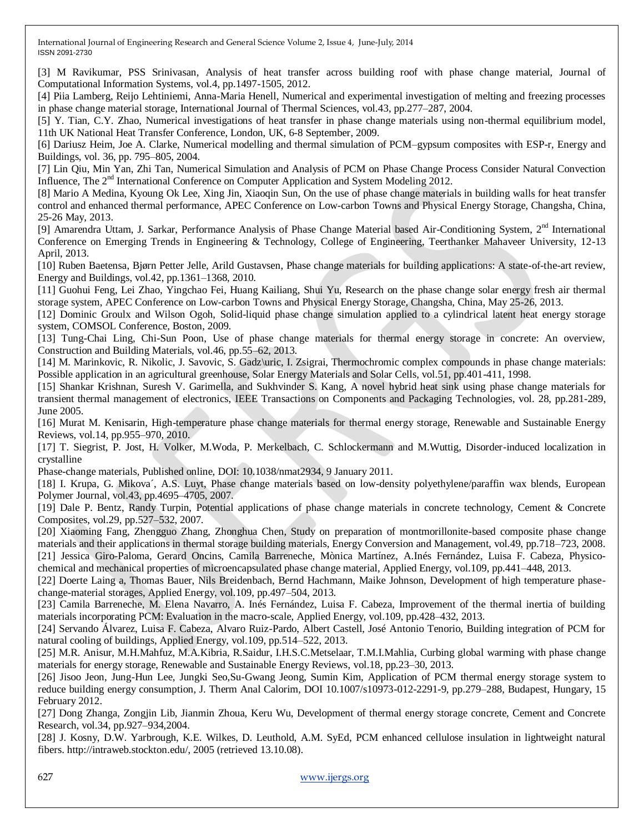[3] M Ravikumar, PSS Srinivasan, Analysis of heat transfer across building roof with phase change material, Journal of Computational Information Systems, vol.4, pp.1497-1505, 2012.

[4] Piia Lamberg, Reijo Lehtiniemi, Anna-Maria Henell, Numerical and experimental investigation of melting and freezing processes in phase change material storage, International Journal of Thermal Sciences, vol.43, pp.277–287, 2004.

[5] Y. Tian, C.Y. Zhao, Numerical investigations of heat transfer in phase change materials using non-thermal equilibrium model, 11th UK National Heat Transfer Conference, London, UK, 6-8 September, 2009.

[6] Dariusz Heim, Joe A. Clarke, Numerical modelling and thermal simulation of PCM–gypsum composites with ESP-r, Energy and Buildings, vol. 36, pp. 795–805, 2004.

[7] Lin Qiu, Min Yan, Zhi Tan, Numerical Simulation and Analysis of PCM on Phase Change Process Consider Natural Convection Influence, The  $2<sup>nd</sup>$  International Conference on Computer Application and System Modeling 2012.

[8] Mario A Medina, Kyoung Ok Lee, Xing Jin, Xiaoqin Sun, On the use of phase change materials in building walls for heat transfer control and enhanced thermal performance, APEC Conference on Low-carbon Towns and Physical Energy Storage, Changsha, China, 25-26 May, 2013.

[9] Amarendra Uttam, J. Sarkar, Performance Analysis of Phase Change Material based Air-Conditioning System, 2<sup>nd</sup> International Conference on Emerging Trends in Engineering & Technology, College of Engineering, Teerthanker Mahaveer University, 12-13 April, 2013.

[10] Ruben Baetensa, Bjørn Petter Jelle, Arild Gustavsen, Phase change materials for building applications: A state-of-the-art review, Energy and Buildings, vol.42, pp.1361–1368, 2010.

[11] Guohui Feng, Lei Zhao, Yingchao Fei, Huang Kailiang, Shui Yu, Research on the phase change solar energy fresh air thermal storage system, APEC Conference on Low-carbon Towns and Physical Energy Storage, Changsha, China, May 25-26, 2013.

[12] Dominic Groulx and Wilson Ogoh, Solid-liquid phase change simulation applied to a cylindrical latent heat energy storage system, COMSOL Conference, Boston, 2009.

[13] Tung-Chai Ling, Chi-Sun Poon, Use of phase change materials for thermal energy storage in concrete: An overview, Construction and Building Materials, vol.46, pp.55–62, 2013.

[14] M. Marinkovic, R. Nikolic, J. Savovic, S. Gadz\uric, I. Zsigrai, Thermochromic complex compounds in phase change materials: Possible application in an agricultural greenhouse, Solar Energy Materials and Solar Cells, vol.51, pp.401-411, 1998.

[15] Shankar Krishnan, Suresh V. Garimella, and Sukhvinder S. Kang, A novel hybrid heat sink using phase change materials for transient thermal management of electronics, IEEE Transactions on Components and Packaging Technologies, vol. 28, pp.281-289, June 2005.

[16] Murat M. Kenisarin, High-temperature phase change materials for thermal energy storage, Renewable and Sustainable Energy Reviews, vol.14, pp.955–970, 2010.

[17] T. Siegrist, P. Jost, H. Volker, M.Woda, P. Merkelbach, C. Schlockermann and M.Wuttig, Disorder-induced localization in crystalline

Phase-change materials, Published online, DOI: 10.1038/nmat2934, 9 January 2011.

[18] I. Krupa, G. Mikova´, A.S. Luyt, Phase change materials based on low-density polyethylene/paraffin wax blends, European Polymer Journal, vol.43, pp.4695–4705, 2007.

[19] Dale P. Bentz, Randy Turpin, Potential applications of phase change materials in concrete technology, Cement & Concrete Composites, vol.29, pp.527–532, 2007.

[20] Xiaoming Fang, Zhengguo Zhang, Zhonghua Chen, Study on preparation of montmorillonite-based composite phase change materials and their applications in thermal storage building materials, Energy Conversion and Management, vol.49, pp.718–723, 2008. [21] Jessica Giro-Paloma, Gerard Oncins, Camila Barreneche, Mònica Martínez, A.Inés Fernández, Luisa F. Cabeza, Physicochemical and mechanical properties of microencapsulated phase change material, Applied Energy, vol.109, pp.441–448, 2013.

[22] Doerte Laing a, Thomas Bauer, Nils Breidenbach, Bernd Hachmann, Maike Johnson, Development of high temperature phasechange-material storages, Applied Energy, vol.109, pp.497–504, 2013.

[23] Camila Barreneche, M. Elena Navarro, A. Inés Fernández, Luisa F. Cabeza, Improvement of the thermal inertia of building materials incorporating PCM: Evaluation in the macro-scale, Applied Energy, vol.109, pp.428–432, 2013.

[24] Servando Álvarez, Luisa F. Cabeza, Alvaro Ruiz-Pardo, Albert Castell, José Antonio Tenorio, Building integration of PCM for natural cooling of buildings, Applied Energy, vol.109, pp.514–522, 2013.

[25] M.R. Anisur, M.H.Mahfuz, M.A.Kibria, R.Saidur, I.H.S.C.Metselaar, T.M.I.Mahlia, Curbing global warming with phase change materials for energy storage, Renewable and Sustainable Energy Reviews, vol.18, pp.23–30, 2013.

[26] Jisoo Jeon, Jung-Hun Lee, Jungki Seo,Su-Gwang Jeong, Sumin Kim, Application of PCM thermal energy storage system to reduce building energy consumption, J. Therm Anal Calorim, DOI 10.1007/s10973-012-2291-9, pp.279–288, Budapest, Hungary, 15 February 2012.

[27] Dong Zhanga, Zongjin Lib, Jianmin Zhoua, Keru Wu, Development of thermal energy storage concrete, Cement and Concrete Research, vol.34, pp.927–934,2004.

[28] J. Kosny, D.W. Yarbrough, K.E. Wilkes, D. Leuthold, A.M. SyEd, PCM enhanced cellulose insulation in lightweight natural fibers. http://intraweb.stockton.edu/, 2005 (retrieved 13.10.08).